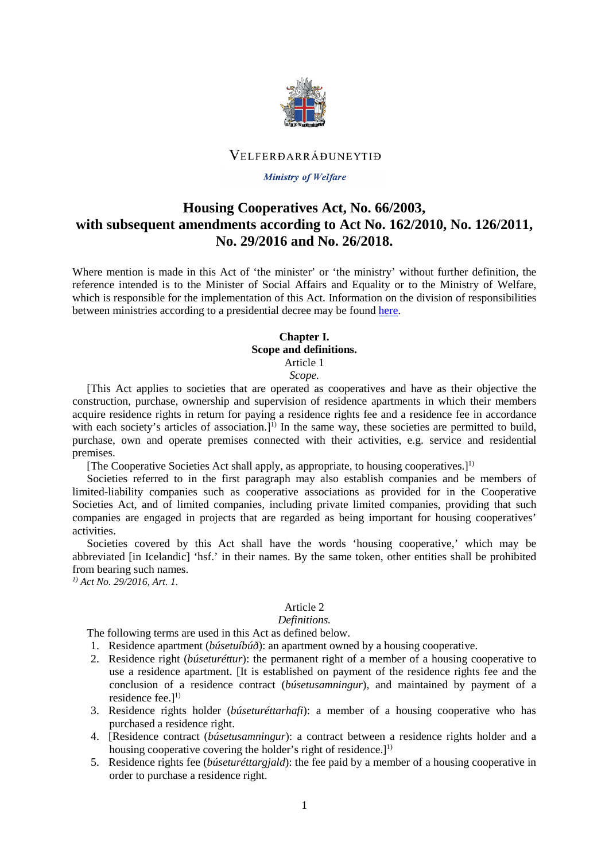

## VELFERDARRÁÐUNEYTIÐ

## **Ministry of Welfare**

# **Housing Cooperatives Act, No. 66/2003, with subsequent amendments according to Act No. 162/2010, No. 126/2011, No. 29/2016 and No. 26/2018.**

Where mention is made in this Act of 'the minister' or 'the ministry' without further definition, the reference intended is to the Minister of Social Affairs and Equality or to the Ministry of Welfare, which is responsible for the implementation of this Act. Information on the division of responsibilities between ministries according to a presidential decree may be found [here.](http://www.althingi.is/lagas/nuna/2017084.html)

## **Chapter I. Scope and definitions.** Article 1

## *Scope.*

[This Act applies to societies that are operated as cooperatives and have as their objective the construction, purchase, ownership and supervision of residence apartments in which their members acquire residence rights in return for paying a residence rights fee and a residence fee in accordance with each society's articles of association.]<sup>1)</sup> In the same way, these societies are permitted to build, purchase, own and operate premises connected with their activities, e.g. service and residential premises.

[The Cooperative Societies Act shall apply, as appropriate, to housing cooperatives.] 1)

Societies referred to in the first paragraph may also establish companies and be members of limited-liability companies such as cooperative associations as provided for in the Cooperative Societies Act, and of limited companies, including private limited companies, providing that such companies are engaged in projects that are regarded as being important for housing cooperatives' activities.

Societies covered by this Act shall have the words 'housing cooperative,' which may be abbreviated [in Icelandic] 'hsf.' in their names. By the same token, other entities shall be prohibited from bearing such names.

*1) Act No. 29/2016, Art. 1.* 

## Article 2

## *Definitions.*

The following terms are used in this Act as defined below.

- 1. Residence apartment (*búsetuíbúð*): an apartment owned by a housing cooperative.
- 2. Residence right (*búseturéttur*): the permanent right of a member of a housing cooperative to use a residence apartment. [It is established on payment of the residence rights fee and the conclusion of a residence contract (*búsetusamningur*), and maintained by payment of a residence fee. $l^{1}$
- 3. Residence rights holder (*búseturéttarhafi*): a member of a housing cooperative who has purchased a residence right.
- 4. [Residence contract (*búsetusamningur*): a contract between a residence rights holder and a housing cooperative covering the holder's right of residence.]<sup>1)</sup>
- 5. Residence rights fee (*búseturéttargjald*): the fee paid by a member of a housing cooperative in order to purchase a residence right.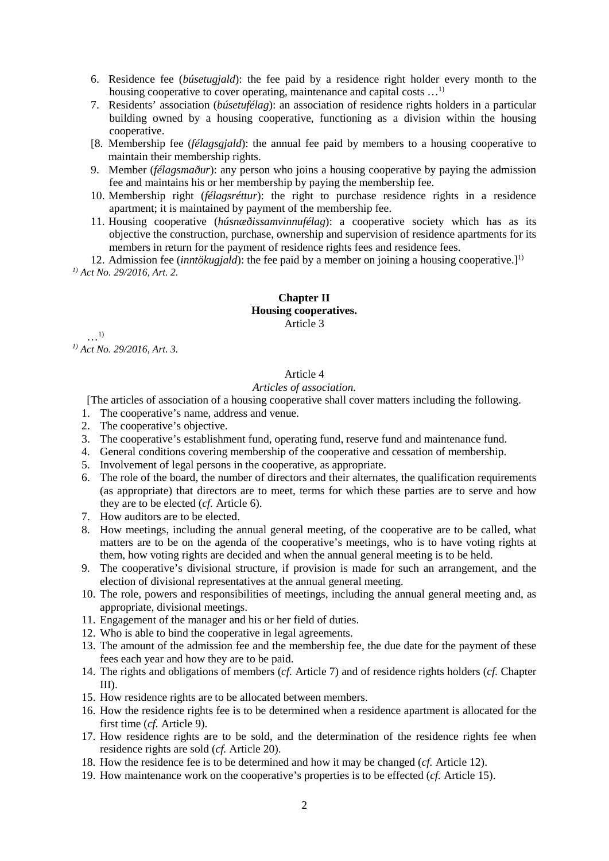6. Residence fee (*búsetugjald*): the fee paid by a residence right holder every month to the housing cooperative to cover operating, maintenance and capital costs ...<sup>1)</sup>

- 7. Residents' association (*búsetufélag*): an association of residence rights holders in a particular building owned by a housing cooperative, functioning as a division within the housing cooperative.
- [8. Membership fee (*félagsgjald*): the annual fee paid by members to a housing cooperative to maintain their membership rights.
- 9. Member (*félagsmaður*): any person who joins a housing cooperative by paying the admission fee and maintains his or her membership by paying the membership fee.
- 10. Membership right (*félagsréttur*): the right to purchase residence rights in a residence apartment; it is maintained by payment of the membership fee.
- 11. Housing cooperative (*húsnæðissamvinnufélag*): a cooperative society which has as its objective the construction, purchase, ownership and supervision of residence apartments for its members in return for the payment of residence rights fees and residence fees.

12. Admission fee (*inntökugjald*): the fee paid by a member on joining a housing cooperative.] 1) *1) Act No. 29/2016, Art. 2.* 

## **Chapter II Housing cooperatives.** Article 3

…1) *1) Act No. 29/2016, Art. 3.*

## Article 4

## *Articles of association.*

[The articles of association of a housing cooperative shall cover matters including the following.

- 1. The cooperative's name, address and venue.
- 2. The cooperative's objective.
- 3. The cooperative's establishment fund, operating fund, reserve fund and maintenance fund.
- 4. General conditions covering membership of the cooperative and cessation of membership.
- 5. Involvement of legal persons in the cooperative, as appropriate.
- 6. The role of the board, the number of directors and their alternates, the qualification requirements (as appropriate) that directors are to meet, terms for which these parties are to serve and how they are to be elected (*cf.* Article 6).
- 7. How auditors are to be elected.
- 8. How meetings, including the annual general meeting, of the cooperative are to be called, what matters are to be on the agenda of the cooperative's meetings, who is to have voting rights at them, how voting rights are decided and when the annual general meeting is to be held.
- 9. The cooperative's divisional structure, if provision is made for such an arrangement, and the election of divisional representatives at the annual general meeting.
- 10. The role, powers and responsibilities of meetings, including the annual general meeting and, as appropriate, divisional meetings.
- 11. Engagement of the manager and his or her field of duties.
- 12. Who is able to bind the cooperative in legal agreements.
- 13. The amount of the admission fee and the membership fee, the due date for the payment of these fees each year and how they are to be paid.
- 14. The rights and obligations of members (*cf.* Article 7) and of residence rights holders (*cf.* Chapter III).
- 15. How residence rights are to be allocated between members.
- 16. How the residence rights fee is to be determined when a residence apartment is allocated for the first time (*cf.* Article 9).
- 17. How residence rights are to be sold, and the determination of the residence rights fee when residence rights are sold (*cf.* Article 20).
- 18. How the residence fee is to be determined and how it may be changed (*cf.* Article 12).
- 19. How maintenance work on the cooperative's properties is to be effected (*cf.* Article 15).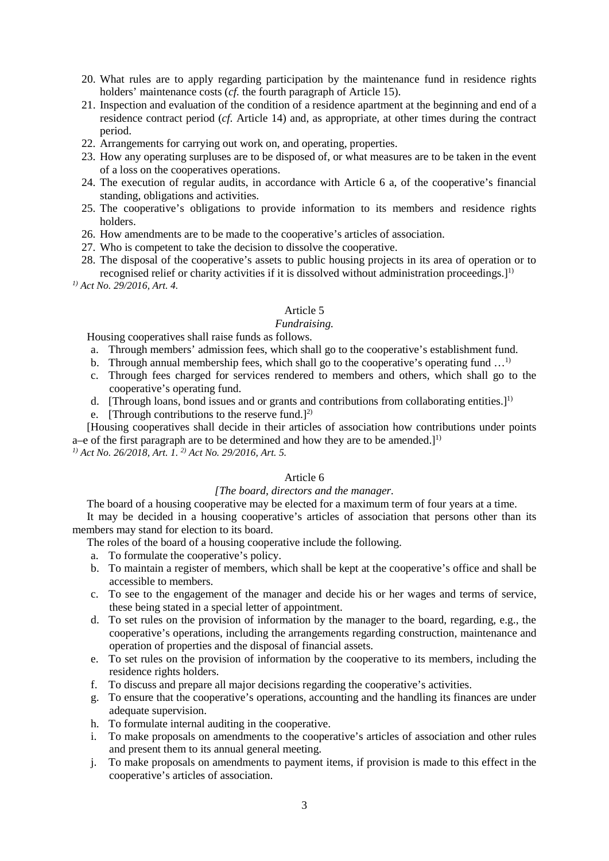- 20. What rules are to apply regarding participation by the maintenance fund in residence rights holders' maintenance costs (*cf.* the fourth paragraph of Article 15).
- 21. Inspection and evaluation of the condition of a residence apartment at the beginning and end of a residence contract period (*cf.* Article 14) and, as appropriate, at other times during the contract period.
- 22. Arrangements for carrying out work on, and operating, properties.
- 23. How any operating surpluses are to be disposed of, or what measures are to be taken in the event of a loss on the cooperatives operations.
- 24. The execution of regular audits, in accordance with Article 6 a, of the cooperative's financial standing, obligations and activities.
- 25. The cooperative's obligations to provide information to its members and residence rights holders.
- 26. How amendments are to be made to the cooperative's articles of association.
- 27. Who is competent to take the decision to dissolve the cooperative.
- 28. The disposal of the cooperative's assets to public housing projects in its area of operation or to recognised relief or charity activities if it is dissolved without administration proceedings.]<sup>1)</sup>

*1) Act No. 29/2016, Art. 4.* 

## Article 5

## *Fundraising.*

Housing cooperatives shall raise funds as follows.

- a. Through members' admission fees, which shall go to the cooperative's establishment fund.
- b. Through annual membership fees, which shall go to the cooperative's operating fund  $\dots$ <sup>1)</sup>
- c. Through fees charged for services rendered to members and others, which shall go to the cooperative's operating fund.
- d. [Through loans, bond issues and or grants and contributions from collaborating entities.]<sup>1)</sup>
- e. [Through contributions to the reserve fund.]<sup>2)</sup>

[Housing cooperatives shall decide in their articles of association how contributions under points a–e of the first paragraph are to be determined and how they are to be amended.]<sup>1)</sup> *1) Act No. 26/2018, Art. 1. 2) Act No. 29/2016, Art. 5.* 

## Article 6

## *[The board, directors and the manager.*

The board of a housing cooperative may be elected for a maximum term of four years at a time.

It may be decided in a housing cooperative's articles of association that persons other than its members may stand for election to its board.

The roles of the board of a housing cooperative include the following.

- a. To formulate the cooperative's policy.
- b. To maintain a register of members, which shall be kept at the cooperative's office and shall be accessible to members.
- c. To see to the engagement of the manager and decide his or her wages and terms of service, these being stated in a special letter of appointment.
- d. To set rules on the provision of information by the manager to the board, regarding, e.g., the cooperative's operations, including the arrangements regarding construction, maintenance and operation of properties and the disposal of financial assets.
- e. To set rules on the provision of information by the cooperative to its members, including the residence rights holders.
- f. To discuss and prepare all major decisions regarding the cooperative's activities.
- g. To ensure that the cooperative's operations, accounting and the handling its finances are under adequate supervision.
- h. To formulate internal auditing in the cooperative.
- i. To make proposals on amendments to the cooperative's articles of association and other rules and present them to its annual general meeting.
- j. To make proposals on amendments to payment items, if provision is made to this effect in the cooperative's articles of association.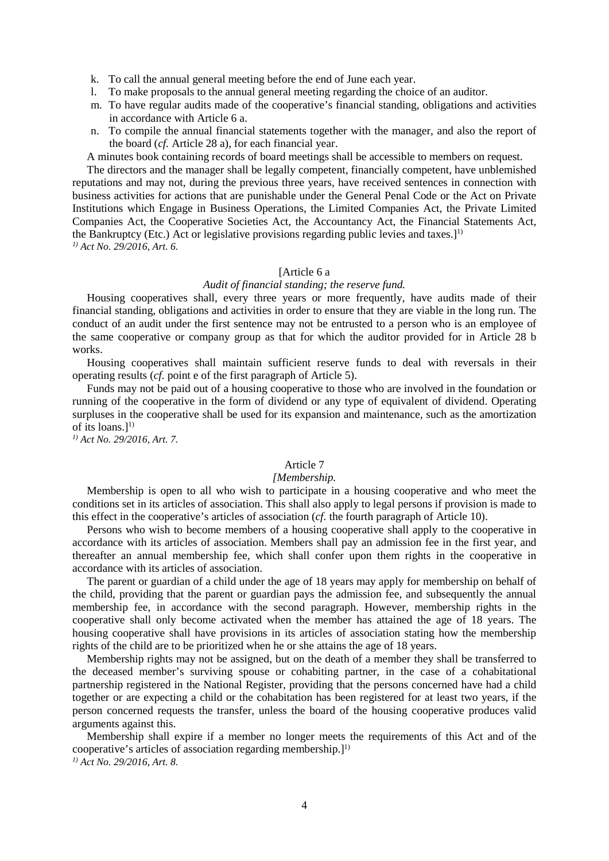- k. To call the annual general meeting before the end of June each year.
- l. To make proposals to the annual general meeting regarding the choice of an auditor.
- m. To have regular audits made of the cooperative's financial standing, obligations and activities in accordance with Article 6 a.
- n. To compile the annual financial statements together with the manager, and also the report of the board (*cf.* Article 28 a), for each financial year.

A minutes book containing records of board meetings shall be accessible to members on request.

The directors and the manager shall be legally competent, financially competent, have unblemished reputations and may not, during the previous three years, have received sentences in connection with business activities for actions that are punishable under the General Penal Code or the Act on Private Institutions which Engage in Business Operations, the Limited Companies Act, the Private Limited Companies Act, the Cooperative Societies Act, the Accountancy Act, the Financial Statements Act, the Bankruptcy (Etc.) Act or legislative provisions regarding public levies and taxes.]<sup>1)</sup> *1) Act No. 29/2016, Art. 6.*

#### [Article 6 a

### *Audit of financial standing; the reserve fund.*

Housing cooperatives shall, every three years or more frequently, have audits made of their financial standing, obligations and activities in order to ensure that they are viable in the long run. The conduct of an audit under the first sentence may not be entrusted to a person who is an employee of the same cooperative or company group as that for which the auditor provided for in Article 28 b works.

Housing cooperatives shall maintain sufficient reserve funds to deal with reversals in their operating results (*cf.* point e of the first paragraph of Article 5).

Funds may not be paid out of a housing cooperative to those who are involved in the foundation or running of the cooperative in the form of dividend or any type of equivalent of dividend. Operating surpluses in the cooperative shall be used for its expansion and maintenance, such as the amortization of its loans. $]^{1)}$ 

*1) Act No. 29/2016, Art. 7.* 

### Article 7

### *[Membership.*

Membership is open to all who wish to participate in a housing cooperative and who meet the conditions set in its articles of association. This shall also apply to legal persons if provision is made to this effect in the cooperative's articles of association (*cf.* the fourth paragraph of Article 10).

Persons who wish to become members of a housing cooperative shall apply to the cooperative in accordance with its articles of association. Members shall pay an admission fee in the first year, and thereafter an annual membership fee, which shall confer upon them rights in the cooperative in accordance with its articles of association.

The parent or guardian of a child under the age of 18 years may apply for membership on behalf of the child, providing that the parent or guardian pays the admission fee, and subsequently the annual membership fee, in accordance with the second paragraph. However, membership rights in the cooperative shall only become activated when the member has attained the age of 18 years. The housing cooperative shall have provisions in its articles of association stating how the membership rights of the child are to be prioritized when he or she attains the age of 18 years.

Membership rights may not be assigned, but on the death of a member they shall be transferred to the deceased member's surviving spouse or cohabiting partner, in the case of a cohabitational partnership registered in the National Register, providing that the persons concerned have had a child together or are expecting a child or the cohabitation has been registered for at least two years, if the person concerned requests the transfer, unless the board of the housing cooperative produces valid arguments against this.

Membership shall expire if a member no longer meets the requirements of this Act and of the cooperative's articles of association regarding membership. $l^{(1)}$ *1) Act No. 29/2016, Art. 8.*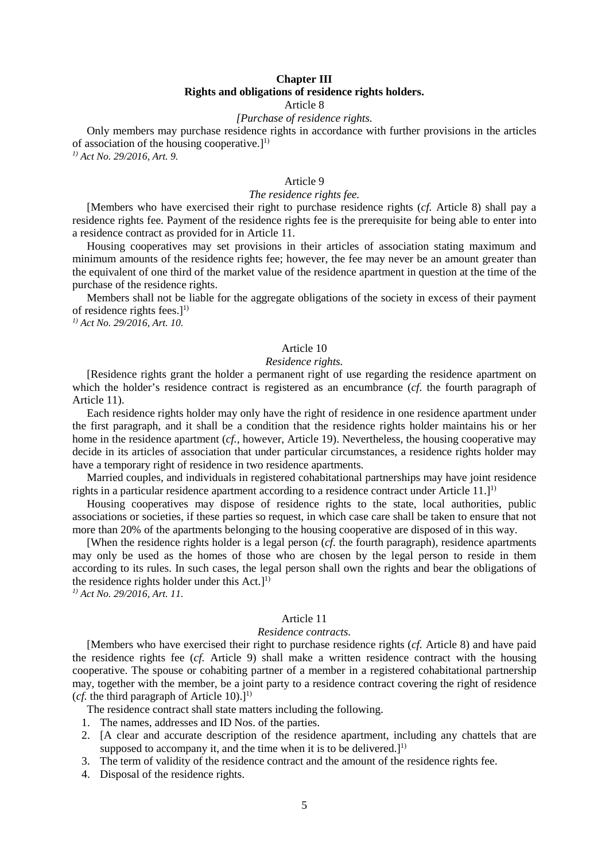## **Chapter III Rights and obligations of residence rights holders.** Article 8

### *[Purchase of residence rights.*

Only members may purchase residence rights in accordance with further provisions in the articles of association of the housing cooperative.]<sup>1)</sup>

*1) Act No. 29/2016, Art. 9.* 

## Article 9

## *The residence rights fee.*

[Members who have exercised their right to purchase residence rights (*cf.* Article 8) shall pay a residence rights fee. Payment of the residence rights fee is the prerequisite for being able to enter into a residence contract as provided for in Article 11.

Housing cooperatives may set provisions in their articles of association stating maximum and minimum amounts of the residence rights fee; however, the fee may never be an amount greater than the equivalent of one third of the market value of the residence apartment in question at the time of the purchase of the residence rights.

Members shall not be liable for the aggregate obligations of the society in excess of their payment of residence rights fees.] 1)

*1) Act No. 29/2016, Art. 10.* 

## Article 10

### *Residence rights.*

[Residence rights grant the holder a permanent right of use regarding the residence apartment on which the holder's residence contract is registered as an encumbrance (*cf.* the fourth paragraph of Article 11).

Each residence rights holder may only have the right of residence in one residence apartment under the first paragraph, and it shall be a condition that the residence rights holder maintains his or her home in the residence apartment (*cf.,* however, Article 19). Nevertheless, the housing cooperative may decide in its articles of association that under particular circumstances, a residence rights holder may have a temporary right of residence in two residence apartments.

Married couples, and individuals in registered cohabitational partnerships may have joint residence rights in a particular residence apartment according to a residence contract under Article 11.]<sup>1)</sup>

Housing cooperatives may dispose of residence rights to the state, local authorities, public associations or societies, if these parties so request, in which case care shall be taken to ensure that not more than 20% of the apartments belonging to the housing cooperative are disposed of in this way.

[When the residence rights holder is a legal person (*cf.* the fourth paragraph), residence apartments may only be used as the homes of those who are chosen by the legal person to reside in them according to its rules. In such cases, the legal person shall own the rights and bear the obligations of the residence rights holder under this  $Act.]<sup>1</sup>$ 

*1) Act No. 29/2016, Art. 11.*

### Article 11

## *Residence contracts.*

[Members who have exercised their right to purchase residence rights (*cf.* Article 8) and have paid the residence rights fee (*cf.* Article 9) shall make a written residence contract with the housing cooperative. The spouse or cohabiting partner of a member in a registered cohabitational partnership may, together with the member, be a joint party to a residence contract covering the right of residence (*cf.* the third paragraph of Article 10).]<sup>1)</sup>

The residence contract shall state matters including the following.

- 1. The names, addresses and ID Nos. of the parties.
- 2. [A clear and accurate description of the residence apartment, including any chattels that are supposed to accompany it, and the time when it is to be delivered.] $<sup>1</sup>$ </sup>
- 3. The term of validity of the residence contract and the amount of the residence rights fee.
- 4. Disposal of the residence rights.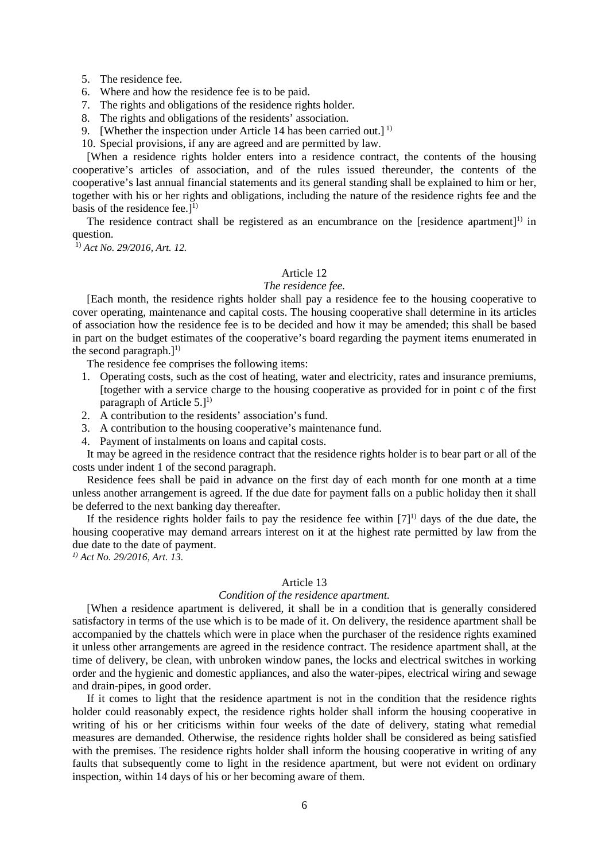- 5. The residence fee.
- 6. Where and how the residence fee is to be paid.
- 7. The rights and obligations of the residence rights holder.
- 8. The rights and obligations of the residents' association.
- 9. [Whether the inspection under Article 14 has been carried out.]<sup>1)</sup>

10. Special provisions, if any are agreed and are permitted by law.

[When a residence rights holder enters into a residence contract, the contents of the housing cooperative's articles of association, and of the rules issued thereunder, the contents of the cooperative's last annual financial statements and its general standing shall be explained to him or her, together with his or her rights and obligations, including the nature of the residence rights fee and the basis of the residence fee. $l^{(1)}$ 

The residence contract shall be registered as an encumbrance on the [residence apartment]<sup>1)</sup> in question.

1) *Act No. 29/2016, Art. 12.*

## Article 12

## *The residence fee.*

[Each month, the residence rights holder shall pay a residence fee to the housing cooperative to cover operating, maintenance and capital costs. The housing cooperative shall determine in its articles of association how the residence fee is to be decided and how it may be amended; this shall be based in part on the budget estimates of the cooperative's board regarding the payment items enumerated in the second paragraph. $]^{1}$ 

The residence fee comprises the following items:

- 1. Operating costs, such as the cost of heating, water and electricity, rates and insurance premiums, [together with a service charge to the housing cooperative as provided for in point c of the first paragraph of Article  $5.1^{1}$
- 2. A contribution to the residents' association's fund.
- 3. A contribution to the housing cooperative's maintenance fund.
- 4. Payment of instalments on loans and capital costs.

It may be agreed in the residence contract that the residence rights holder is to bear part or all of the costs under indent 1 of the second paragraph.

Residence fees shall be paid in advance on the first day of each month for one month at a time unless another arrangement is agreed. If the due date for payment falls on a public holiday then it shall be deferred to the next banking day thereafter.

If the residence rights holder fails to pay the residence fee within  $[7]$ <sup>1)</sup> days of the due date, the housing cooperative may demand arrears interest on it at the highest rate permitted by law from the due date to the date of payment.

*1) Act No. 29/2016, Art. 13.*

### Article 13

### *Condition of the residence apartment.*

[When a residence apartment is delivered, it shall be in a condition that is generally considered satisfactory in terms of the use which is to be made of it. On delivery, the residence apartment shall be accompanied by the chattels which were in place when the purchaser of the residence rights examined it unless other arrangements are agreed in the residence contract. The residence apartment shall, at the time of delivery, be clean, with unbroken window panes, the locks and electrical switches in working order and the hygienic and domestic appliances, and also the water-pipes, electrical wiring and sewage and drain-pipes, in good order.

If it comes to light that the residence apartment is not in the condition that the residence rights holder could reasonably expect, the residence rights holder shall inform the housing cooperative in writing of his or her criticisms within four weeks of the date of delivery, stating what remedial measures are demanded. Otherwise, the residence rights holder shall be considered as being satisfied with the premises. The residence rights holder shall inform the housing cooperative in writing of any faults that subsequently come to light in the residence apartment, but were not evident on ordinary inspection, within 14 days of his or her becoming aware of them.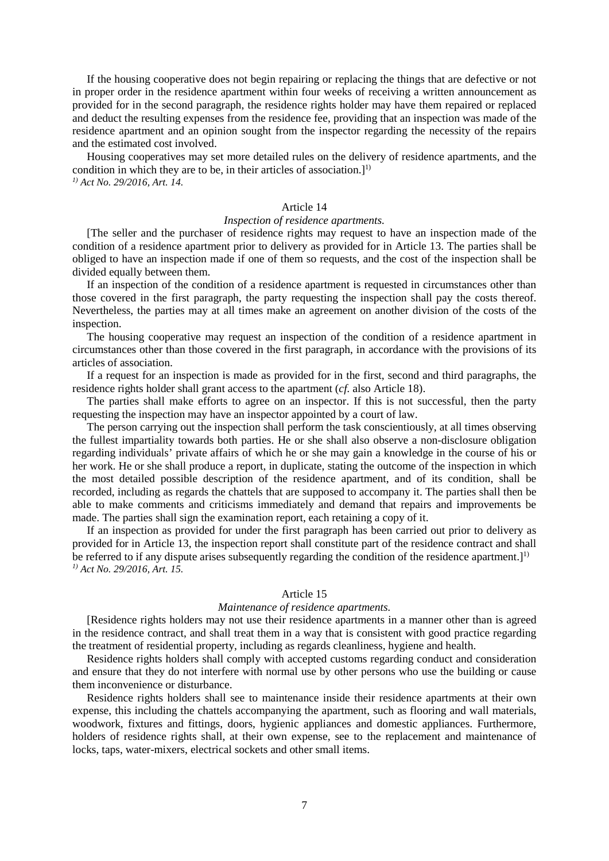If the housing cooperative does not begin repairing or replacing the things that are defective or not in proper order in the residence apartment within four weeks of receiving a written announcement as provided for in the second paragraph, the residence rights holder may have them repaired or replaced and deduct the resulting expenses from the residence fee, providing that an inspection was made of the residence apartment and an opinion sought from the inspector regarding the necessity of the repairs and the estimated cost involved.

Housing cooperatives may set more detailed rules on the delivery of residence apartments, and the condition in which they are to be, in their articles of association.] 1) *1) Act No. 29/2016, Art. 14.*

## Article 14

## *Inspection of residence apartments.*

[The seller and the purchaser of residence rights may request to have an inspection made of the condition of a residence apartment prior to delivery as provided for in Article 13. The parties shall be obliged to have an inspection made if one of them so requests, and the cost of the inspection shall be divided equally between them.

If an inspection of the condition of a residence apartment is requested in circumstances other than those covered in the first paragraph, the party requesting the inspection shall pay the costs thereof. Nevertheless, the parties may at all times make an agreement on another division of the costs of the inspection.

The housing cooperative may request an inspection of the condition of a residence apartment in circumstances other than those covered in the first paragraph, in accordance with the provisions of its articles of association.

If a request for an inspection is made as provided for in the first, second and third paragraphs, the residence rights holder shall grant access to the apartment (*cf.* also Article 18).

The parties shall make efforts to agree on an inspector. If this is not successful, then the party requesting the inspection may have an inspector appointed by a court of law.

The person carrying out the inspection shall perform the task conscientiously, at all times observing the fullest impartiality towards both parties. He or she shall also observe a non-disclosure obligation regarding individuals' private affairs of which he or she may gain a knowledge in the course of his or her work. He or she shall produce a report, in duplicate, stating the outcome of the inspection in which the most detailed possible description of the residence apartment, and of its condition, shall be recorded, including as regards the chattels that are supposed to accompany it. The parties shall then be able to make comments and criticisms immediately and demand that repairs and improvements be made. The parties shall sign the examination report, each retaining a copy of it.

If an inspection as provided for under the first paragraph has been carried out prior to delivery as provided for in Article 13, the inspection report shall constitute part of the residence contract and shall be referred to if any dispute arises subsequently regarding the condition of the residence apartment.]<sup>1)</sup> *1) Act No. 29/2016, Art. 15.*

### Article 15

### *Maintenance of residence apartments.*

[Residence rights holders may not use their residence apartments in a manner other than is agreed in the residence contract, and shall treat them in a way that is consistent with good practice regarding the treatment of residential property, including as regards cleanliness, hygiene and health.

Residence rights holders shall comply with accepted customs regarding conduct and consideration and ensure that they do not interfere with normal use by other persons who use the building or cause them inconvenience or disturbance.

Residence rights holders shall see to maintenance inside their residence apartments at their own expense, this including the chattels accompanying the apartment, such as flooring and wall materials, woodwork, fixtures and fittings, doors, hygienic appliances and domestic appliances. Furthermore, holders of residence rights shall, at their own expense, see to the replacement and maintenance of locks, taps, water-mixers, electrical sockets and other small items.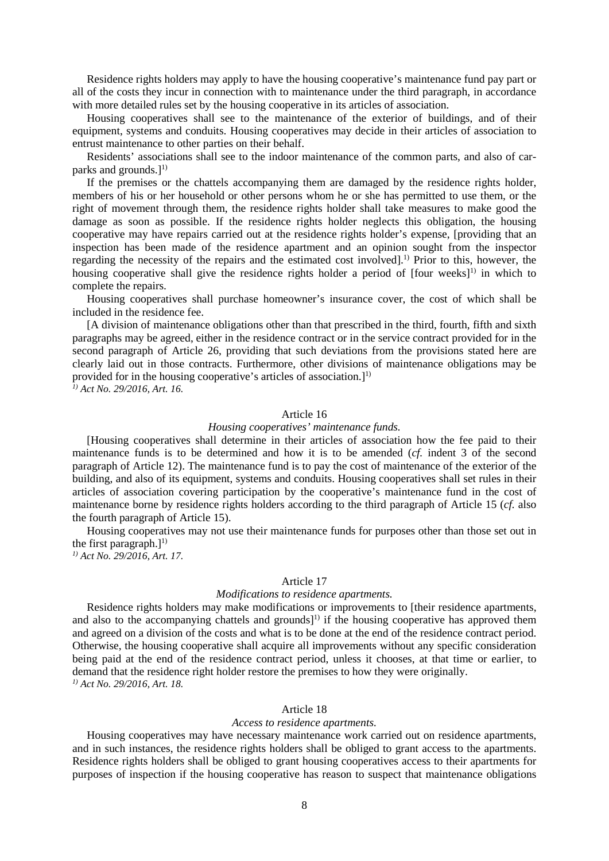Residence rights holders may apply to have the housing cooperative's maintenance fund pay part or all of the costs they incur in connection with to maintenance under the third paragraph, in accordance with more detailed rules set by the housing cooperative in its articles of association.

Housing cooperatives shall see to the maintenance of the exterior of buildings, and of their equipment, systems and conduits. Housing cooperatives may decide in their articles of association to entrust maintenance to other parties on their behalf.

Residents' associations shall see to the indoor maintenance of the common parts, and also of carparks and grounds.] 1)

If the premises or the chattels accompanying them are damaged by the residence rights holder, members of his or her household or other persons whom he or she has permitted to use them, or the right of movement through them, the residence rights holder shall take measures to make good the damage as soon as possible. If the residence rights holder neglects this obligation, the housing cooperative may have repairs carried out at the residence rights holder's expense, [providing that an inspection has been made of the residence apartment and an opinion sought from the inspector regarding the necessity of the repairs and the estimated cost involved].1) Prior to this, however, the housing cooperative shall give the residence rights holder a period of  $[four weeks]$ <sup>1)</sup> in which to complete the repairs.

Housing cooperatives shall purchase homeowner's insurance cover, the cost of which shall be included in the residence fee.

[A division of maintenance obligations other than that prescribed in the third, fourth, fifth and sixth paragraphs may be agreed, either in the residence contract or in the service contract provided for in the second paragraph of Article 26, providing that such deviations from the provisions stated here are clearly laid out in those contracts. Furthermore, other divisions of maintenance obligations may be provided for in the housing cooperative's articles of association. $]^{1}$ 

*1) Act No. 29/2016, Art. 16.*

### Article 16

### *Housing cooperatives' maintenance funds.*

[Housing cooperatives shall determine in their articles of association how the fee paid to their maintenance funds is to be determined and how it is to be amended (*cf.* indent 3 of the second paragraph of Article 12). The maintenance fund is to pay the cost of maintenance of the exterior of the building, and also of its equipment, systems and conduits. Housing cooperatives shall set rules in their articles of association covering participation by the cooperative's maintenance fund in the cost of maintenance borne by residence rights holders according to the third paragraph of Article 15 (*cf.* also the fourth paragraph of Article 15).

Housing cooperatives may not use their maintenance funds for purposes other than those set out in the first paragraph.]<sup>1)</sup>

*1) Act No. 29/2016, Art. 17.*

## Article 17

### *Modifications to residence apartments.*

Residence rights holders may make modifications or improvements to [their residence apartments, and also to the accompanying chattels and grounds]<sup>1)</sup> if the housing cooperative has approved them and agreed on a division of the costs and what is to be done at the end of the residence contract period. Otherwise, the housing cooperative shall acquire all improvements without any specific consideration being paid at the end of the residence contract period, unless it chooses, at that time or earlier, to demand that the residence right holder restore the premises to how they were originally. *1) Act No. 29/2016, Art. 18.*

## Article 18

#### *Access to residence apartments.*

Housing cooperatives may have necessary maintenance work carried out on residence apartments, and in such instances, the residence rights holders shall be obliged to grant access to the apartments. Residence rights holders shall be obliged to grant housing cooperatives access to their apartments for purposes of inspection if the housing cooperative has reason to suspect that maintenance obligations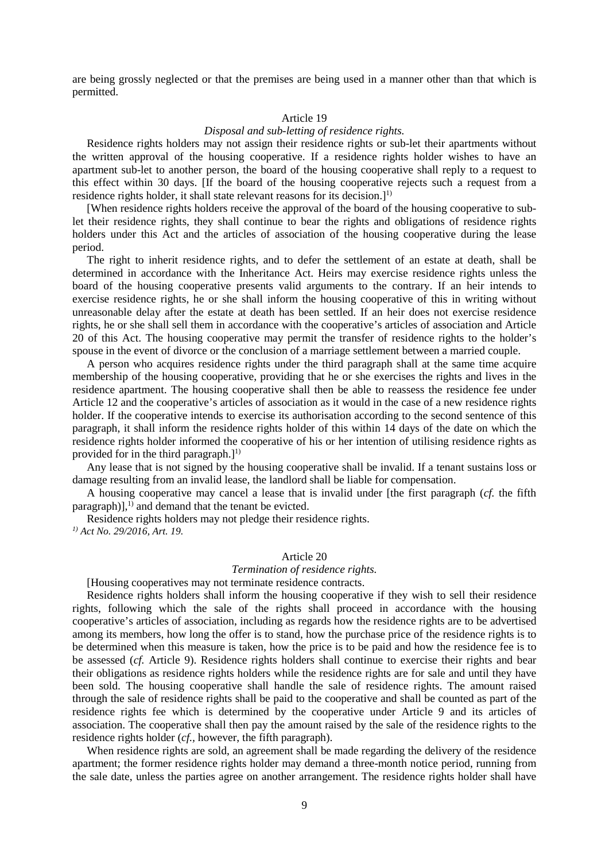are being grossly neglected or that the premises are being used in a manner other than that which is permitted.

## Article 19

## *Disposal and sub-letting of residence rights.*

Residence rights holders may not assign their residence rights or sub-let their apartments without the written approval of the housing cooperative. If a residence rights holder wishes to have an apartment sub-let to another person, the board of the housing cooperative shall reply to a request to this effect within 30 days. [If the board of the housing cooperative rejects such a request from a residence rights holder, it shall state relevant reasons for its decision.<sup>[1]</sup>

[When residence rights holders receive the approval of the board of the housing cooperative to sublet their residence rights, they shall continue to bear the rights and obligations of residence rights holders under this Act and the articles of association of the housing cooperative during the lease period.

The right to inherit residence rights, and to defer the settlement of an estate at death, shall be determined in accordance with the Inheritance Act. Heirs may exercise residence rights unless the board of the housing cooperative presents valid arguments to the contrary. If an heir intends to exercise residence rights, he or she shall inform the housing cooperative of this in writing without unreasonable delay after the estate at death has been settled. If an heir does not exercise residence rights, he or she shall sell them in accordance with the cooperative's articles of association and Article 20 of this Act. The housing cooperative may permit the transfer of residence rights to the holder's spouse in the event of divorce or the conclusion of a marriage settlement between a married couple.

A person who acquires residence rights under the third paragraph shall at the same time acquire membership of the housing cooperative, providing that he or she exercises the rights and lives in the residence apartment. The housing cooperative shall then be able to reassess the residence fee under Article 12 and the cooperative's articles of association as it would in the case of a new residence rights holder. If the cooperative intends to exercise its authorisation according to the second sentence of this paragraph, it shall inform the residence rights holder of this within 14 days of the date on which the residence rights holder informed the cooperative of his or her intention of utilising residence rights as provided for in the third paragraph. $l^{1}$ 

Any lease that is not signed by the housing cooperative shall be invalid. If a tenant sustains loss or damage resulting from an invalid lease, the landlord shall be liable for compensation.

A housing cooperative may cancel a lease that is invalid under [the first paragraph (*cf.* the fifth paragraph)],<sup>1)</sup> and demand that the tenant be evicted.

Residence rights holders may not pledge their residence rights. *1) Act No. 29/2016, Art. 19.* 

## Article 20

## *Termination of residence rights.*

[Housing cooperatives may not terminate residence contracts.

Residence rights holders shall inform the housing cooperative if they wish to sell their residence rights, following which the sale of the rights shall proceed in accordance with the housing cooperative's articles of association, including as regards how the residence rights are to be advertised among its members, how long the offer is to stand, how the purchase price of the residence rights is to be determined when this measure is taken, how the price is to be paid and how the residence fee is to be assessed (*cf.* Article 9). Residence rights holders shall continue to exercise their rights and bear their obligations as residence rights holders while the residence rights are for sale and until they have been sold. The housing cooperative shall handle the sale of residence rights. The amount raised through the sale of residence rights shall be paid to the cooperative and shall be counted as part of the residence rights fee which is determined by the cooperative under Article 9 and its articles of association. The cooperative shall then pay the amount raised by the sale of the residence rights to the residence rights holder (*cf.,* however, the fifth paragraph).

When residence rights are sold, an agreement shall be made regarding the delivery of the residence apartment; the former residence rights holder may demand a three-month notice period, running from the sale date, unless the parties agree on another arrangement. The residence rights holder shall have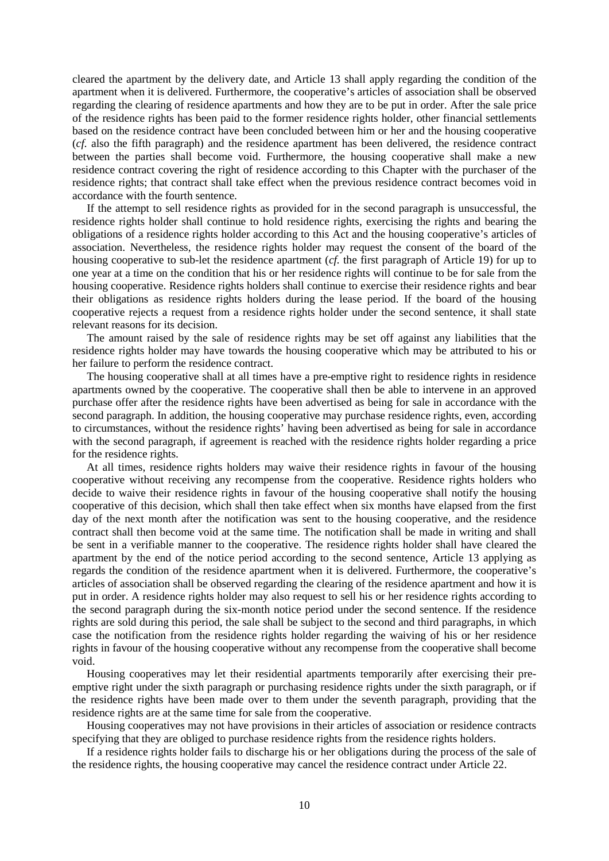cleared the apartment by the delivery date, and Article 13 shall apply regarding the condition of the apartment when it is delivered. Furthermore, the cooperative's articles of association shall be observed regarding the clearing of residence apartments and how they are to be put in order. After the sale price of the residence rights has been paid to the former residence rights holder, other financial settlements based on the residence contract have been concluded between him or her and the housing cooperative (*cf.* also the fifth paragraph) and the residence apartment has been delivered, the residence contract between the parties shall become void. Furthermore, the housing cooperative shall make a new residence contract covering the right of residence according to this Chapter with the purchaser of the residence rights; that contract shall take effect when the previous residence contract becomes void in accordance with the fourth sentence.

If the attempt to sell residence rights as provided for in the second paragraph is unsuccessful, the residence rights holder shall continue to hold residence rights, exercising the rights and bearing the obligations of a residence rights holder according to this Act and the housing cooperative's articles of association. Nevertheless, the residence rights holder may request the consent of the board of the housing cooperative to sub-let the residence apartment (*cf.* the first paragraph of Article 19) for up to one year at a time on the condition that his or her residence rights will continue to be for sale from the housing cooperative. Residence rights holders shall continue to exercise their residence rights and bear their obligations as residence rights holders during the lease period. If the board of the housing cooperative rejects a request from a residence rights holder under the second sentence, it shall state relevant reasons for its decision.

The amount raised by the sale of residence rights may be set off against any liabilities that the residence rights holder may have towards the housing cooperative which may be attributed to his or her failure to perform the residence contract.

The housing cooperative shall at all times have a pre-emptive right to residence rights in residence apartments owned by the cooperative. The cooperative shall then be able to intervene in an approved purchase offer after the residence rights have been advertised as being for sale in accordance with the second paragraph. In addition, the housing cooperative may purchase residence rights, even, according to circumstances, without the residence rights' having been advertised as being for sale in accordance with the second paragraph, if agreement is reached with the residence rights holder regarding a price for the residence rights.

At all times, residence rights holders may waive their residence rights in favour of the housing cooperative without receiving any recompense from the cooperative. Residence rights holders who decide to waive their residence rights in favour of the housing cooperative shall notify the housing cooperative of this decision, which shall then take effect when six months have elapsed from the first day of the next month after the notification was sent to the housing cooperative, and the residence contract shall then become void at the same time. The notification shall be made in writing and shall be sent in a verifiable manner to the cooperative. The residence rights holder shall have cleared the apartment by the end of the notice period according to the second sentence, Article 13 applying as regards the condition of the residence apartment when it is delivered. Furthermore, the cooperative's articles of association shall be observed regarding the clearing of the residence apartment and how it is put in order. A residence rights holder may also request to sell his or her residence rights according to the second paragraph during the six-month notice period under the second sentence. If the residence rights are sold during this period, the sale shall be subject to the second and third paragraphs, in which case the notification from the residence rights holder regarding the waiving of his or her residence rights in favour of the housing cooperative without any recompense from the cooperative shall become void.

Housing cooperatives may let their residential apartments temporarily after exercising their preemptive right under the sixth paragraph or purchasing residence rights under the sixth paragraph, or if the residence rights have been made over to them under the seventh paragraph, providing that the residence rights are at the same time for sale from the cooperative.

Housing cooperatives may not have provisions in their articles of association or residence contracts specifying that they are obliged to purchase residence rights from the residence rights holders.

If a residence rights holder fails to discharge his or her obligations during the process of the sale of the residence rights, the housing cooperative may cancel the residence contract under Article 22.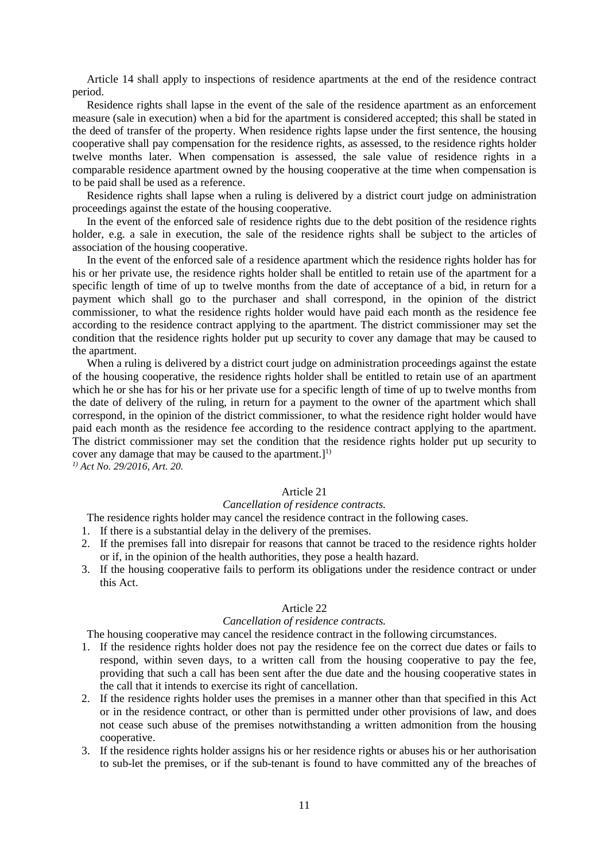Article 14 shall apply to inspections of residence apartments at the end of the residence contract period.

Residence rights shall lapse in the event of the sale of the residence apartment as an enforcement measure (sale in execution) when a bid for the apartment is considered accepted; this shall be stated in the deed of transfer of the property. When residence rights lapse under the first sentence, the housing cooperative shall pay compensation for the residence rights, as assessed, to the residence rights holder twelve months later. When compensation is assessed, the sale value of residence rights in a comparable residence apartment owned by the housing cooperative at the time when compensation is to be paid shall be used as a reference.

Residence rights shall lapse when a ruling is delivered by a district court judge on administration proceedings against the estate of the housing cooperative.

In the event of the enforced sale of residence rights due to the debt position of the residence rights holder, e.g. a sale in execution, the sale of the residence rights shall be subject to the articles of association of the housing cooperative.

In the event of the enforced sale of a residence apartment which the residence rights holder has for his or her private use, the residence rights holder shall be entitled to retain use of the apartment for a specific length of time of up to twelve months from the date of acceptance of a bid, in return for a payment which shall go to the purchaser and shall correspond, in the opinion of the district commissioner, to what the residence rights holder would have paid each month as the residence fee according to the residence contract applying to the apartment. The district commissioner may set the condition that the residence rights holder put up security to cover any damage that may be caused to the apartment.

When a ruling is delivered by a district court judge on administration proceedings against the estate of the housing cooperative, the residence rights holder shall be entitled to retain use of an apartment which he or she has for his or her private use for a specific length of time of up to twelve months from the date of delivery of the ruling, in return for a payment to the owner of the apartment which shall correspond, in the opinion of the district commissioner, to what the residence right holder would have paid each month as the residence fee according to the residence contract applying to the apartment. The district commissioner may set the condition that the residence rights holder put up security to cover any damage that may be caused to the apartment.]<sup>1)</sup>

*1) Act No. 29/2016, Art. 20.* 

## Article 21

## *Cancellation of residence contracts.*

The residence rights holder may cancel the residence contract in the following cases.

1. If there is a substantial delay in the delivery of the premises.

- 2. If the premises fall into disrepair for reasons that cannot be traced to the residence rights holder or if, in the opinion of the health authorities, they pose a health hazard.
- 3. If the housing cooperative fails to perform its obligations under the residence contract or under this Act.

#### Article 22

### *Cancellation of residence contracts.*

The housing cooperative may cancel the residence contract in the following circumstances.

- 1. If the residence rights holder does not pay the residence fee on the correct due dates or fails to respond, within seven days, to a written call from the housing cooperative to pay the fee, providing that such a call has been sent after the due date and the housing cooperative states in the call that it intends to exercise its right of cancellation.
- 2. If the residence rights holder uses the premises in a manner other than that specified in this Act or in the residence contract, or other than is permitted under other provisions of law, and does not cease such abuse of the premises notwithstanding a written admonition from the housing cooperative.
- 3. If the residence rights holder assigns his or her residence rights or abuses his or her authorisation to sub-let the premises, or if the sub-tenant is found to have committed any of the breaches of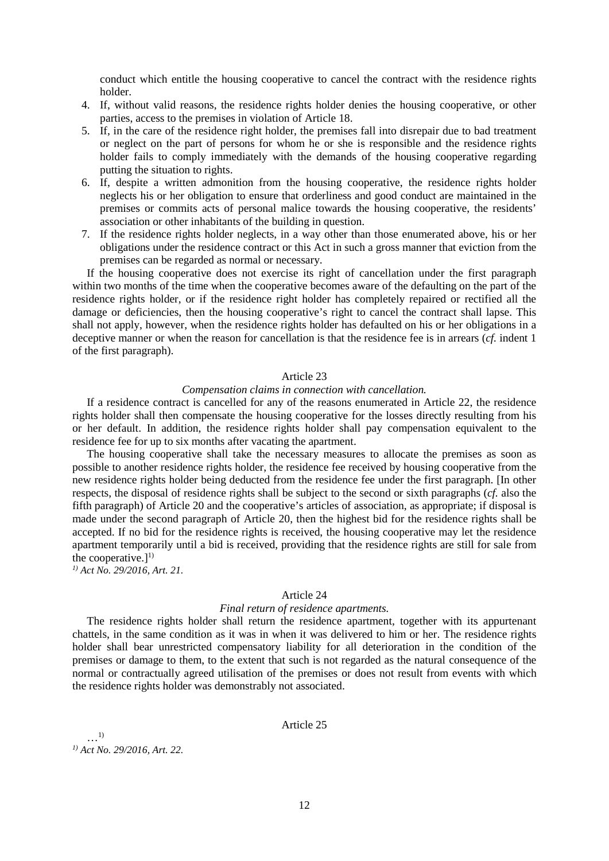conduct which entitle the housing cooperative to cancel the contract with the residence rights holder.

- 4. If, without valid reasons, the residence rights holder denies the housing cooperative, or other parties, access to the premises in violation of Article 18.
- 5. If, in the care of the residence right holder, the premises fall into disrepair due to bad treatment or neglect on the part of persons for whom he or she is responsible and the residence rights holder fails to comply immediately with the demands of the housing cooperative regarding putting the situation to rights.
- 6. If, despite a written admonition from the housing cooperative, the residence rights holder neglects his or her obligation to ensure that orderliness and good conduct are maintained in the premises or commits acts of personal malice towards the housing cooperative, the residents' association or other inhabitants of the building in question.
- 7. If the residence rights holder neglects, in a way other than those enumerated above, his or her obligations under the residence contract or this Act in such a gross manner that eviction from the premises can be regarded as normal or necessary.

If the housing cooperative does not exercise its right of cancellation under the first paragraph within two months of the time when the cooperative becomes aware of the defaulting on the part of the residence rights holder, or if the residence right holder has completely repaired or rectified all the damage or deficiencies, then the housing cooperative's right to cancel the contract shall lapse. This shall not apply, however, when the residence rights holder has defaulted on his or her obligations in a deceptive manner or when the reason for cancellation is that the residence fee is in arrears (*cf.* indent 1 of the first paragraph).

## Article 23

### *Compensation claims in connection with cancellation.*

If a residence contract is cancelled for any of the reasons enumerated in Article 22, the residence rights holder shall then compensate the housing cooperative for the losses directly resulting from his or her default. In addition, the residence rights holder shall pay compensation equivalent to the residence fee for up to six months after vacating the apartment.

The housing cooperative shall take the necessary measures to allocate the premises as soon as possible to another residence rights holder, the residence fee received by housing cooperative from the new residence rights holder being deducted from the residence fee under the first paragraph. [In other respects, the disposal of residence rights shall be subject to the second or sixth paragraphs (*cf.* also the fifth paragraph) of Article 20 and the cooperative's articles of association, as appropriate; if disposal is made under the second paragraph of Article 20, then the highest bid for the residence rights shall be accepted. If no bid for the residence rights is received, the housing cooperative may let the residence apartment temporarily until a bid is received, providing that the residence rights are still for sale from the cooperative.] $^{1)}$ 

*1) Act No. 29/2016, Art. 21.* 

### Article 24

### *Final return of residence apartments.*

The residence rights holder shall return the residence apartment, together with its appurtenant chattels, in the same condition as it was in when it was delivered to him or her. The residence rights holder shall bear unrestricted compensatory liability for all deterioration in the condition of the premises or damage to them, to the extent that such is not regarded as the natural consequence of the normal or contractually agreed utilisation of the premises or does not result from events with which the residence rights holder was demonstrably not associated.

Article 25

…1) *1) Act No. 29/2016, Art. 22.*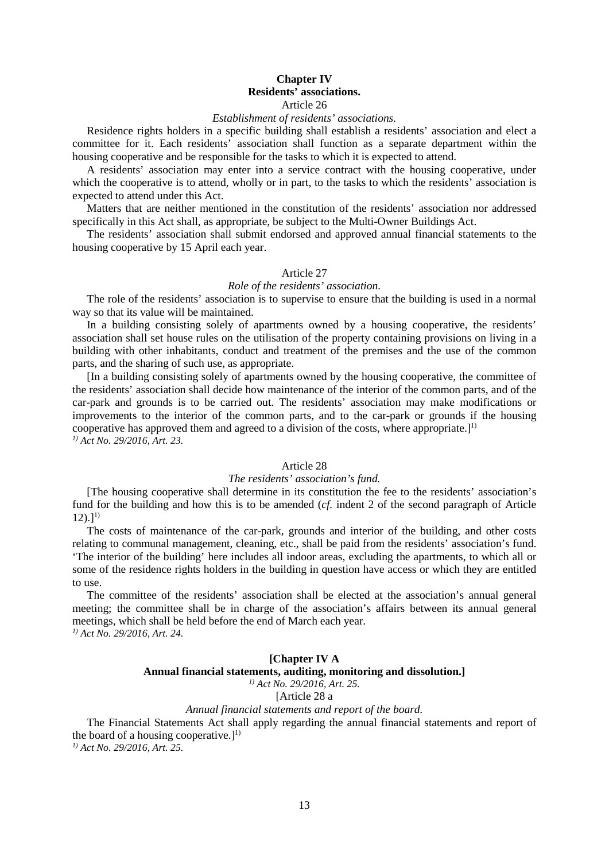## **Chapter IV Residents' associations.** Article 26

## *Establishment of residents' associations.*

Residence rights holders in a specific building shall establish a residents' association and elect a committee for it. Each residents' association shall function as a separate department within the housing cooperative and be responsible for the tasks to which it is expected to attend.

A residents' association may enter into a service contract with the housing cooperative, under which the cooperative is to attend, wholly or in part, to the tasks to which the residents' association is expected to attend under this Act.

Matters that are neither mentioned in the constitution of the residents' association nor addressed specifically in this Act shall, as appropriate, be subject to the Multi-Owner Buildings Act.

The residents' association shall submit endorsed and approved annual financial statements to the housing cooperative by 15 April each year.

## Article 27

## *Role of the residents' association.*

The role of the residents' association is to supervise to ensure that the building is used in a normal way so that its value will be maintained.

In a building consisting solely of apartments owned by a housing cooperative, the residents' association shall set house rules on the utilisation of the property containing provisions on living in a building with other inhabitants, conduct and treatment of the premises and the use of the common parts, and the sharing of such use, as appropriate.

[In a building consisting solely of apartments owned by the housing cooperative, the committee of the residents' association shall decide how maintenance of the interior of the common parts, and of the car-park and grounds is to be carried out. The residents' association may make modifications or improvements to the interior of the common parts, and to the car-park or grounds if the housing cooperative has approved them and agreed to a division of the costs, where appropriate.]<sup>1)</sup> *1) Act No. 29/2016, Art. 23.* 

### Article 28

#### *The residents' association's fund.*

[The housing cooperative shall determine in its constitution the fee to the residents' association's fund for the building and how this is to be amended (*cf.* indent 2 of the second paragraph of Article  $12$ ).]<sup>1)</sup>

The costs of maintenance of the car-park, grounds and interior of the building, and other costs relating to communal management, cleaning, etc., shall be paid from the residents' association's fund. 'The interior of the building' here includes all indoor areas, excluding the apartments, to which all or some of the residence rights holders in the building in question have access or which they are entitled to use.

The committee of the residents' association shall be elected at the association's annual general meeting; the committee shall be in charge of the association's affairs between its annual general meetings, which shall be held before the end of March each year. *1) Act No. 29/2016, Art. 24.*

### **[Chapter IV A Annual financial statements, auditing, monitoring and dissolution.]** *1) Act No. 29/2016, Art. 25.*

[Article 28 a

## *Annual financial statements and report of the board.*

The Financial Statements Act shall apply regarding the annual financial statements and report of the board of a housing cooperative.]<sup>1)</sup>

*1) Act No. 29/2016, Art. 25.*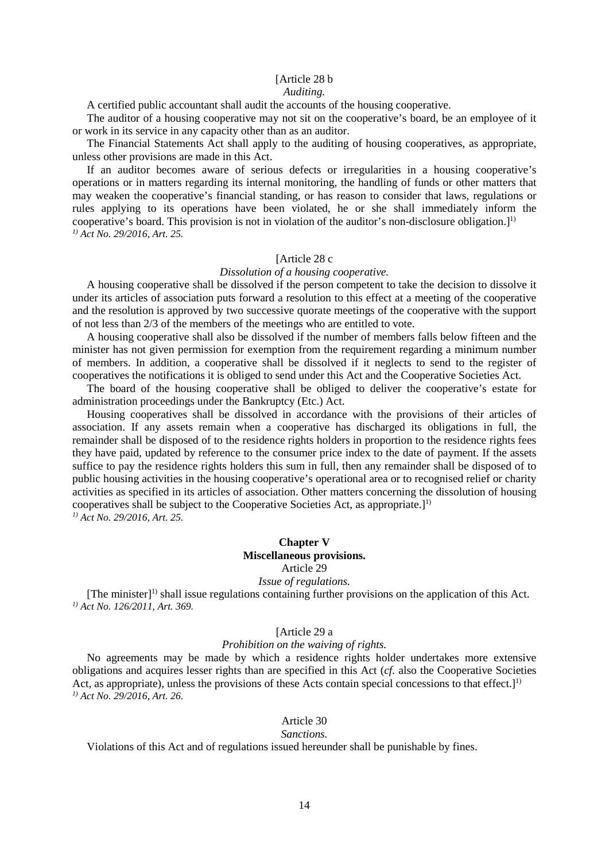## [Article 28 b

### *Auditing.*

A certified public accountant shall audit the accounts of the housing cooperative.

The auditor of a housing cooperative may not sit on the cooperative's board, be an employee of it or work in its service in any capacity other than as an auditor.

The Financial Statements Act shall apply to the auditing of housing cooperatives, as appropriate, unless other provisions are made in this Act.

If an auditor becomes aware of serious defects or irregularities in a housing cooperative's operations or in matters regarding its internal monitoring, the handling of funds or other matters that may weaken the cooperative's financial standing, or has reason to consider that laws, regulations or rules applying to its operations have been violated, he or she shall immediately inform the cooperative's board. This provision is not in violation of the auditor's non-disclosure obligation.]<sup>1)</sup> *1) Act No. 29/2016, Art. 25.* 

## [Article 28 c

## *Dissolution of a housing cooperative.*

A housing cooperative shall be dissolved if the person competent to take the decision to dissolve it under its articles of association puts forward a resolution to this effect at a meeting of the cooperative and the resolution is approved by two successive quorate meetings of the cooperative with the support of not less than 2/3 of the members of the meetings who are entitled to vote.

A housing cooperative shall also be dissolved if the number of members falls below fifteen and the minister has not given permission for exemption from the requirement regarding a minimum number of members. In addition, a cooperative shall be dissolved if it neglects to send to the register of cooperatives the notifications it is obliged to send under this Act and the Cooperative Societies Act.

The board of the housing cooperative shall be obliged to deliver the cooperative's estate for administration proceedings under the Bankruptcy (Etc.) Act.

Housing cooperatives shall be dissolved in accordance with the provisions of their articles of association. If any assets remain when a cooperative has discharged its obligations in full, the remainder shall be disposed of to the residence rights holders in proportion to the residence rights fees they have paid, updated by reference to the consumer price index to the date of payment. If the assets suffice to pay the residence rights holders this sum in full, then any remainder shall be disposed of to public housing activities in the housing cooperative's operational area or to recognised relief or charity activities as specified in its articles of association. Other matters concerning the dissolution of housing cooperatives shall be subject to the Cooperative Societies Act, as appropriate.] 1) *1) Act No. 29/2016, Art. 25.* 

## **Chapter V**

## **Miscellaneous provisions.**

## Article 29

## *Issue of regulations.*

[The minister] 1) shall issue regulations containing further provisions on the application of this Act. *1) Act No. 126/2011, Art. 369.* 

## [Article 29 a

## *Prohibition on the waiving of rights.*

No agreements may be made by which a residence rights holder undertakes more extensive obligations and acquires lesser rights than are specified in this Act (*cf.* also the Cooperative Societies Act, as appropriate), unless the provisions of these Acts contain special concessions to that effect. $1<sup>1</sup>$ *1) Act No. 29/2016, Art. 26.* 

## Article 30

## *Sanctions.*

Violations of this Act and of regulations issued hereunder shall be punishable by fines.